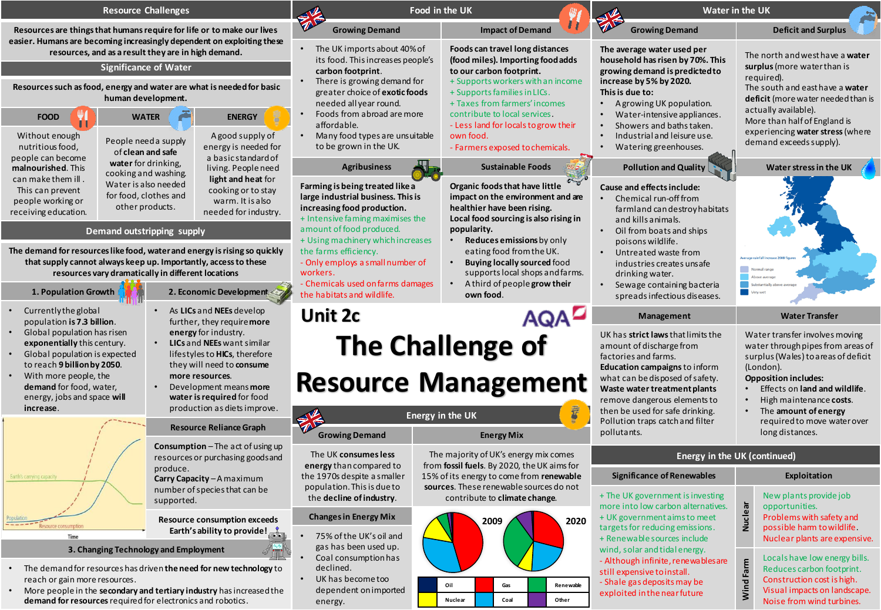| <b>Resource Challenges</b>                                                                                                                                                                                                                                                                                                                                                                                                                                                          |                                                                                                                   | Food in the UK<br>₩                                                                                                                                                                                                                                                                                                     |                                                                                                                                                                                                         | Water in the UK<br>Æ                                                                                                                                                                                                                                                           |                                                                                                                                                                                                                                            |
|-------------------------------------------------------------------------------------------------------------------------------------------------------------------------------------------------------------------------------------------------------------------------------------------------------------------------------------------------------------------------------------------------------------------------------------------------------------------------------------|-------------------------------------------------------------------------------------------------------------------|-------------------------------------------------------------------------------------------------------------------------------------------------------------------------------------------------------------------------------------------------------------------------------------------------------------------------|---------------------------------------------------------------------------------------------------------------------------------------------------------------------------------------------------------|--------------------------------------------------------------------------------------------------------------------------------------------------------------------------------------------------------------------------------------------------------------------------------|--------------------------------------------------------------------------------------------------------------------------------------------------------------------------------------------------------------------------------------------|
| Resources are things that humans require for life or to make our lives<br>easier. Humans are becoming increasingly dependent on exploiting these                                                                                                                                                                                                                                                                                                                                    |                                                                                                                   | <b>Growing Demand</b>                                                                                                                                                                                                                                                                                                   | <b>Impact of Demand</b>                                                                                                                                                                                 | <b>Growing Demand</b>                                                                                                                                                                                                                                                          | <b>Deficit and Surplus</b>                                                                                                                                                                                                                 |
| resources, and as a result they are in high demand.<br><b>Significance of Water</b>                                                                                                                                                                                                                                                                                                                                                                                                 |                                                                                                                   | • The UK imports about 40% of<br>its food. This increases people's<br>carbon footprint.                                                                                                                                                                                                                                 | Foods can travel long distances<br>(food miles). Importing food adds<br>to our carbon footprint.                                                                                                        | The average water used per<br>household has risen by 70%. This<br>growing demand is predicted to                                                                                                                                                                               | The north and west have a water<br>surplus (more water than is                                                                                                                                                                             |
| Resources such as food, energy and water are what is needed for basic<br>human development.                                                                                                                                                                                                                                                                                                                                                                                         |                                                                                                                   | There is growing demand for<br>greater choice of exotic foods<br>needed all year round.                                                                                                                                                                                                                                 | + Supports workers with an income<br>+ Supports families in LICs.<br>+ Taxes from farmers' incomes                                                                                                      | increase by 5% by 2020.<br>This is due to:<br>A growing UK population.                                                                                                                                                                                                         | required).<br>The south and east have a water<br>deficit (more water needed than is<br>actually available).                                                                                                                                |
| <b>FOOD</b><br><b>WATER</b><br>Without enough                                                                                                                                                                                                                                                                                                                                                                                                                                       | <b>ENERGY</b><br>A good supply of                                                                                 | Foods from a broad are more<br>affordable.<br>Many food types are unsuitable                                                                                                                                                                                                                                            | contribute to local services.<br>- Less land for locals to grow their<br>own food.                                                                                                                      | Water-intensive appliances.<br>Showers and baths taken.<br>Industrial and leisure use.                                                                                                                                                                                         | More than half of England is<br>experiencing water stress (where                                                                                                                                                                           |
| People need a supply<br>nutritious food.<br>of clean and safe<br>people can become<br>water for drinking,<br>malnourished. This                                                                                                                                                                                                                                                                                                                                                     | energy is needed for<br>a basic standard of<br>living. People need                                                | to be grown in the UK.<br><b>Agribusiness</b>                                                                                                                                                                                                                                                                           | - Farmers exposed to chemicals.<br><b>Sustainable Foods</b>                                                                                                                                             | Watering greenhouses.<br><b>Pollution and Quality</b>                                                                                                                                                                                                                          | demand exceeds supply).<br>Water stress in the UK                                                                                                                                                                                          |
| cooking and washing.<br>can make them ill.<br>Water is also needed<br>This can prevent<br>for food, clothes and<br>people working or<br>other products.<br>receiving education.                                                                                                                                                                                                                                                                                                     | light and heat for<br>cooking or to stay<br>warm. It is also<br>needed for industry.                              | Farming is being treated like a<br>large industrial business. This is<br>increasing food production.<br>+ Intensive faming maximises the<br>amount of food produced.<br>+ Using machinery which increases<br>the farms efficiency.<br>- Only employs a small number of<br>workers.<br>- Chemicals used on farms damages | Organic foods that have little<br>impact on the environment and are<br>healthier have been rising.<br>Local food sourcing is also rising in                                                             | Cause and effects include:<br>Chemical run-off from<br>$\bullet$<br>farmland can destroy habitats<br>and kills animals.<br>Oil from boats and ships<br>poisons wildlife.<br>Untreated waste from<br>industries creates unsafe<br>drinking water.<br>Sewage containing bacteria |                                                                                                                                                                                                                                            |
| Demand outstripping supply<br>The demand for resources like food, water and energy is rising so quickly<br>that supply cannot always keep up. Importantly, access to these<br>resources vary dramatically in different locations                                                                                                                                                                                                                                                    |                                                                                                                   |                                                                                                                                                                                                                                                                                                                         | popularity.<br>Reduces emissions by only<br>$\bullet$<br>eating food from the UK.<br><b>Buying locally sourced food</b><br>supports local shops and farms.<br>A third of people grow their<br>$\bullet$ |                                                                                                                                                                                                                                                                                |                                                                                                                                                                                                                                            |
| 1. Population Growth<br>2. Economic Development                                                                                                                                                                                                                                                                                                                                                                                                                                     |                                                                                                                   | the habitats and wildlife.                                                                                                                                                                                                                                                                                              | own food.                                                                                                                                                                                               | spreads infectious diseases.                                                                                                                                                                                                                                                   |                                                                                                                                                                                                                                            |
| Currently the global<br>population is 7.3 billion.                                                                                                                                                                                                                                                                                                                                                                                                                                  | As LICs and NEEs develop<br>$\bullet$<br>further, they require more                                               | Unit 2c                                                                                                                                                                                                                                                                                                                 | <b>AQAD</b>                                                                                                                                                                                             | Management                                                                                                                                                                                                                                                                     | <b>Water Transfer</b>                                                                                                                                                                                                                      |
| Global population has risen<br>energy for industry.<br>LICs and NEEs want similar<br>exponentially this century.<br>$\bullet$<br>Global population is expected<br>lifestyles to HICs, therefore<br>to reach 9 billion by 2050.<br>they will need to consume<br>With more people, the<br>more resources.<br>demand for food, water,<br>Development means more<br>$\bullet$<br>energy, jobs and space will<br>water is required for food<br>production as diets improve.<br>increase. |                                                                                                                   | <b>The Challenge of</b><br><b>Resource Management</b><br><b>Energy in the UK</b>                                                                                                                                                                                                                                        |                                                                                                                                                                                                         | UK has strict laws that limits the<br>amount of discharge from<br>factories and farms.<br>Education campaigns to inform<br>what can be disposed of safety.<br>Waste water treatment plants<br>remove dangerous elements to<br>then be used for safe drinking.                  | Water transfer involves moving<br>water through pipes from areas of<br>surplus (Wales) to areas of deficit<br>(London).<br><b>Opposition includes:</b><br>Effects on land and wildlife.<br>High maintenance costs.<br>The amount of energy |
|                                                                                                                                                                                                                                                                                                                                                                                                                                                                                     | <b>Resource Reliance Graph</b>                                                                                    | →<br><b>Growing Demand</b>                                                                                                                                                                                                                                                                                              | <b>Energy Mix</b>                                                                                                                                                                                       | Pollution traps catch and filter<br>pollutants.                                                                                                                                                                                                                                | required to move water over<br>long distances.                                                                                                                                                                                             |
|                                                                                                                                                                                                                                                                                                                                                                                                                                                                                     | Consumption - The act of using up<br>resources or purchasing goods and                                            | The UK consumes less<br>energy than compared to                                                                                                                                                                                                                                                                         | The majority of UK's energy mix comes<br>from fossil fuels. By 2020, the UK aims for                                                                                                                    | Energy in the UK (continued)                                                                                                                                                                                                                                                   |                                                                                                                                                                                                                                            |
| Earth's carrying capacity                                                                                                                                                                                                                                                                                                                                                                                                                                                           | produce.<br>Carry Capacity - A maximum                                                                            | the 1970s despite a smaller<br>population. This is due to                                                                                                                                                                                                                                                               | 15% of its energy to come from renewable<br>sources. These renewable sources do not                                                                                                                     | <b>Significance of Renewables</b>                                                                                                                                                                                                                                              | Exploitation                                                                                                                                                                                                                               |
| Resource consumption<br>Time                                                                                                                                                                                                                                                                                                                                                                                                                                                        | number of species that can be<br>supported.<br><b>Resource consumption exceeds</b><br>Earth's ability to provide! | the decline of industry.<br><b>Changes in Energy Mix</b><br>75% of the UK's oil and                                                                                                                                                                                                                                     | contribute to climate change.<br>2009<br>2020                                                                                                                                                           | + The UK government is investing<br>more into low carbon alternatives.<br>+ UK government aims to meet<br>targets for reducing emissions.<br>+ Renewable sources include                                                                                                       | New plants provide job<br>Nuclear<br>opportunities.<br>Problems with safety and<br>possible harm to wildlife.<br>Nuclear plants are expensive.                                                                                             |
| 3. Changing Technology and Employment<br>The demand for resources has driven the need for new technology to<br>reach or gain more resources.<br>More people in the secondary and tertiary industry has increased the                                                                                                                                                                                                                                                                |                                                                                                                   | gas has been used up.<br>Coal consumption has<br>declined.<br>UK has become too<br>dependent on imported                                                                                                                                                                                                                | Renewable<br>Oil                                                                                                                                                                                        | wind, solar and tidal energy.<br>- Although infinite, renewables are<br>still expensive to install.<br>- Shale gas deposits may be<br>exploited in the near future                                                                                                             | Locals have low energy bills.<br>Farm<br>Reduces carbon footprint.<br>Construction cost is high.<br>lind<br>Visual impacts on landscape.                                                                                                   |

- More people in the **secondary and tertiary industry** has increased the **demand for resources** required for electronics and robotics.
- dependent on imported energy.



| wables                                                    | Exploitation |                                                                                                                                                       |  |  |
|-----------------------------------------------------------|--------------|-------------------------------------------------------------------------------------------------------------------------------------------------------|--|--|
| investing<br>Iternatives.<br>to meet<br>issions.<br>clude | Nuclear      | New plants provide job<br>opportunities.<br>Problems with safety and<br>possible harm to wildlife.<br>Nuclear plants are expensive.                   |  |  |
| ergy.<br>wablesare<br>y be<br>ture                        | Wind Farm    | Locals have low energy bills.<br>Reduces carbon footprint.<br>Construction cost is high.<br>Visual impacts on landscape.<br>Noise from wind turbines. |  |  |